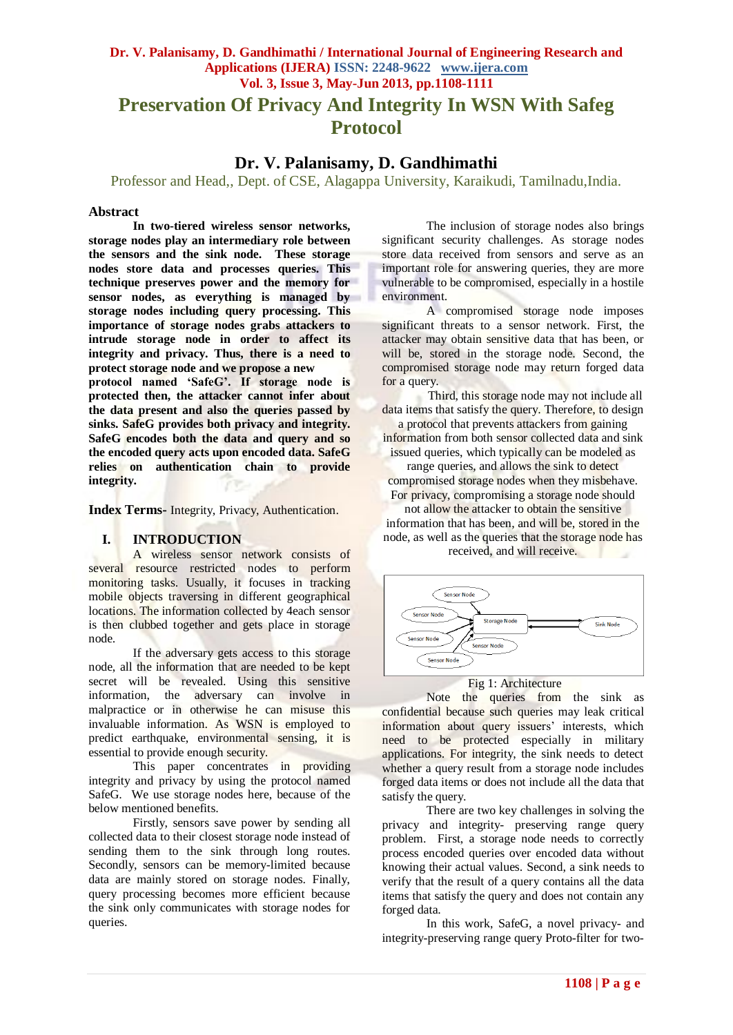# **Preservation Of Privacy And Integrity In WSN With Safeg Protocol**

## **Dr. V. Palanisamy, D. Gandhimathi**

Professor and Head,, Dept. of CSE, Alagappa University, Karaikudi, Tamilnadu,India.

#### **Abstract**

**In two-tiered wireless sensor networks, storage nodes play an intermediary role between the sensors and the sink node. These storage nodes store data and processes queries. This technique preserves power and the memory for sensor nodes, as everything is managed by storage nodes including query processing. This importance of storage nodes grabs attackers to intrude storage node in order to affect its integrity and privacy. Thus, there is a need to protect storage node and we propose a new protocol named 'SafeG'. If storage node is protected then, the attacker cannot infer about the data present and also the queries passed by sinks. SafeG provides both privacy and integrity. SafeG encodes both the data and query and so the encoded query acts upon encoded data. SafeG relies on authentication chain to provide integrity.**

**Index Terms-** Integrity, Privacy, Authentication.

#### **I. INTRODUCTION**

A wireless sensor network consists of several resource restricted nodes to perform monitoring tasks. Usually, it focuses in tracking mobile objects traversing in different geographical locations. The information collected by 4each sensor is then clubbed together and gets place in storage node.

If the adversary gets access to this storage node, all the information that are needed to be kept secret will be revealed. Using this sensitive information, the adversary can involve in malpractice or in otherwise he can misuse this invaluable information. As WSN is employed to predict earthquake, environmental sensing, it is essential to provide enough security.

This paper concentrates in providing integrity and privacy by using the protocol named SafeG. We use storage nodes here, because of the below mentioned benefits.

Firstly, sensors save power by sending all collected data to their closest storage node instead of sending them to the sink through long routes. Secondly, sensors can be memory-limited because data are mainly stored on storage nodes. Finally, query processing becomes more efficient because the sink only communicates with storage nodes for queries.

The inclusion of storage nodes also brings significant security challenges. As storage nodes store data received from sensors and serve as an important role for answering queries, they are more vulnerable to be compromised, especially in a hostile environment.

A compromised storage node imposes significant threats to a sensor network. First, the attacker may obtain sensitive data that has been, or will be, stored in the storage node. Second, the compromised storage node may return forged data for a query.

Third, this storage node may not include all data items that satisfy the query. Therefore, to design

a protocol that prevents attackers from gaining information from both sensor collected data and sink issued queries, which typically can be modeled as

range queries, and allows the sink to detect compromised storage nodes when they misbehave.

For privacy, compromising a storage node should

not allow the attacker to obtain the sensitive information that has been, and will be, stored in the node, as well as the queries that the storage node has received, and will receive.



Fig 1: Architecture

Note the queries from the sink as confidential because such queries may leak critical information about query issuers' interests, which need to be protected especially in military applications. For integrity, the sink needs to detect whether a query result from a storage node includes forged data items or does not include all the data that satisfy the query.

There are two key challenges in solving the privacy and integrity- preserving range query problem. First, a storage node needs to correctly process encoded queries over encoded data without knowing their actual values. Second, a sink needs to verify that the result of a query contains all the data items that satisfy the query and does not contain any forged data.

In this work, SafeG, a novel privacy- and integrity-preserving range query Proto-filter for two-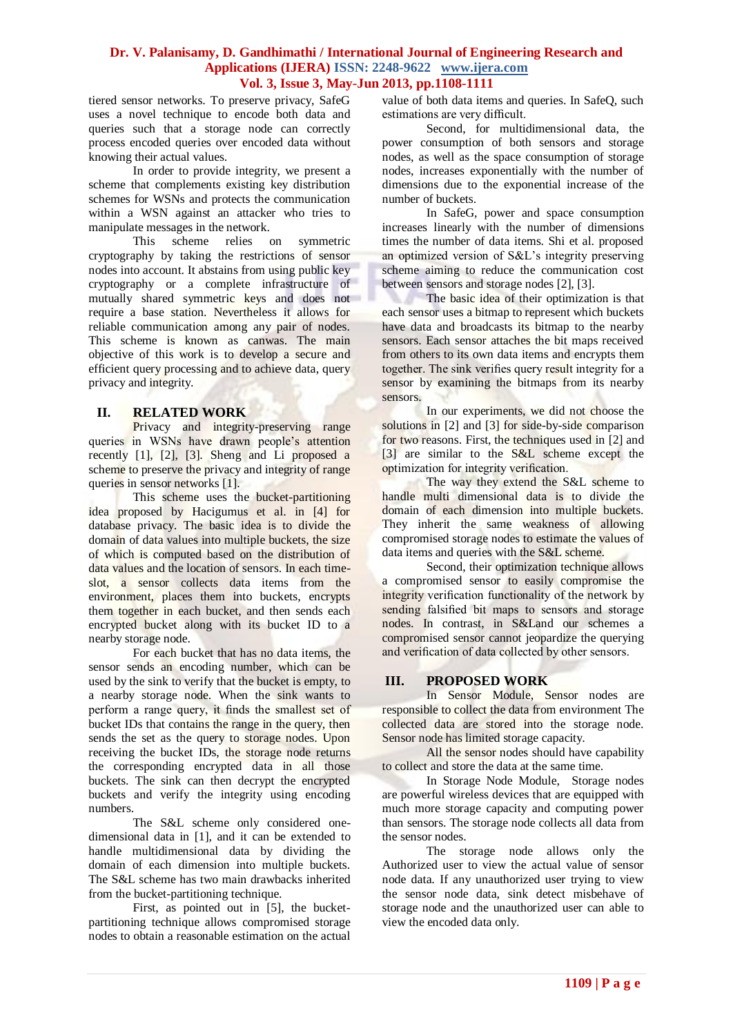tiered sensor networks. To preserve privacy, SafeG uses a novel technique to encode both data and queries such that a storage node can correctly process encoded queries over encoded data without knowing their actual values.

In order to provide integrity, we present a scheme that complements existing key distribution schemes for WSNs and protects the communication within a WSN against an attacker who tries to manipulate messages in the network.

This scheme relies on symmetric cryptography by taking the restrictions of sensor nodes into account. It abstains from using public key cryptography or a complete infrastructure of mutually shared symmetric keys and does not require a base station. Nevertheless it allows for reliable communication among any pair of nodes. This scheme is known as canwas. The main objective of this work is to develop a secure and efficient query processing and to achieve data, query privacy and integrity.

## **II. RELATED WORK**

Privacy and integrity-preserving range queries in WSNs have drawn people's attention recently [1], [2], [3]. Sheng and Li proposed a scheme to preserve the privacy and integrity of range queries in sensor networks [1].

This scheme uses the bucket-partitioning idea proposed by Hacigumus et al. in [4] for database privacy. The basic idea is to divide the domain of data values into multiple buckets, the size of which is computed based on the distribution of data values and the location of sensors. In each timeslot, a sensor collects data items from the environment, places them into buckets, encrypts them together in each bucket, and then sends each encrypted bucket along with its bucket ID to a nearby storage node.

For each bucket that has no data items, the sensor sends an encoding number, which can be used by the sink to verify that the bucket is empty, to a nearby storage node. When the sink wants to perform a range query, it finds the smallest set of bucket IDs that contains the range in the query, then sends the set as the query to storage nodes. Upon receiving the bucket IDs, the storage node returns the corresponding encrypted data in all those buckets. The sink can then decrypt the encrypted buckets and verify the integrity using encoding numbers.

The S&L scheme only considered onedimensional data in [1], and it can be extended to handle multidimensional data by dividing the domain of each dimension into multiple buckets. The S&L scheme has two main drawbacks inherited from the bucket-partitioning technique.

First, as pointed out in [5], the bucketpartitioning technique allows compromised storage nodes to obtain a reasonable estimation on the actual value of both data items and queries. In SafeQ, such estimations are very difficult.

Second, for multidimensional data, the power consumption of both sensors and storage nodes, as well as the space consumption of storage nodes, increases exponentially with the number of dimensions due to the exponential increase of the number of buckets.

In SafeG, power and space consumption increases linearly with the number of dimensions times the number of data items. Shi et al. proposed an optimized version of S&L's integrity preserving scheme aiming to reduce the communication cost between sensors and storage nodes [2], [3].

The basic idea of their optimization is that each sensor uses a bitmap to represent which buckets have data and broadcasts its bitmap to the nearby sensors. Each sensor attaches the bit maps received from others to its own data items and encrypts them together. The sink verifies query result integrity for a sensor by examining the bitmaps from its nearby sensors.

In our experiments, we did not choose the solutions in [2] and [3] for side-by-side comparison for two reasons. First, the techniques used in [2] and [3] are similar to the S&L scheme except the optimization for integrity verification.

The way they extend the S&L scheme to handle multi dimensional data is to divide the domain of each dimension into multiple buckets. They inherit the same weakness of allowing compromised storage nodes to estimate the values of data items and queries with the S&L scheme.

Second, their optimization technique allows a compromised sensor to easily compromise the integrity verification functionality of the network by sending falsified bit maps to sensors and storage nodes. In contrast, in S&Land our schemes a compromised sensor cannot jeopardize the querying and verification of data collected by other sensors.

## **III. PROPOSED WORK**

In Sensor Module, Sensor nodes are responsible to collect the data from environment The collected data are stored into the storage node. Sensor node has limited storage capacity.

All the sensor nodes should have capability to collect and store the data at the same time.

In Storage Node Module, Storage nodes are powerful wireless devices that are equipped with much more storage capacity and computing power than sensors. The storage node collects all data from the sensor nodes.

The storage node allows only the Authorized user to view the actual value of sensor node data. If any unauthorized user trying to view the sensor node data, sink detect misbehave of storage node and the unauthorized user can able to view the encoded data only.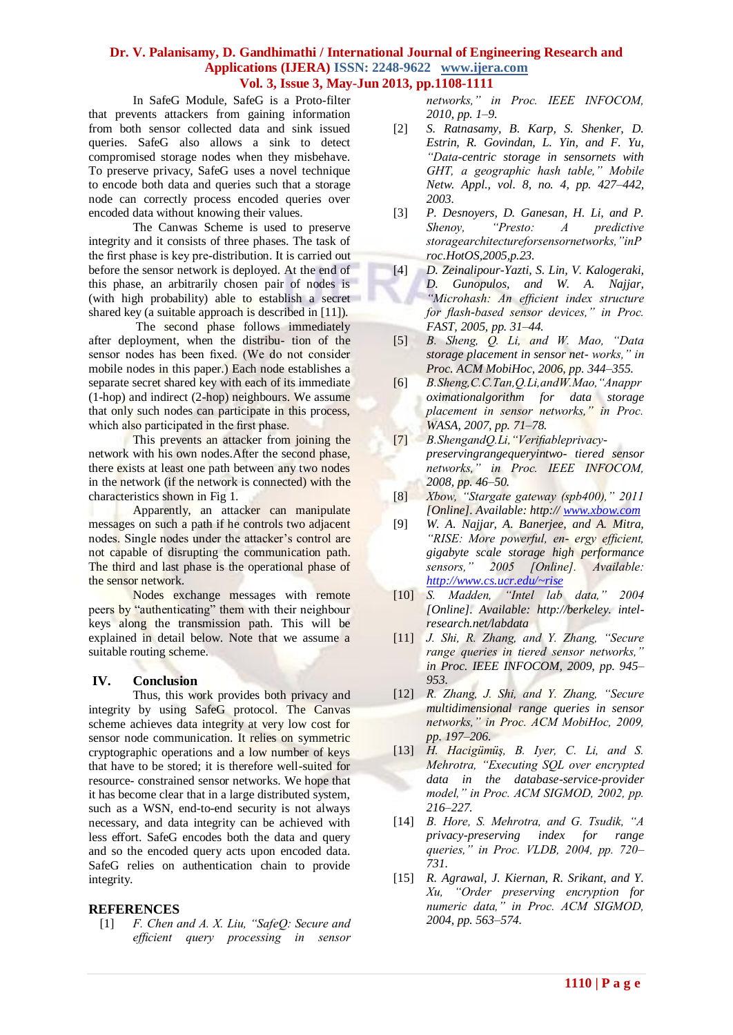In SafeG Module, SafeG is a Proto-filter that prevents attackers from gaining information from both sensor collected data and sink issued queries. SafeG also allows a sink to detect compromised storage nodes when they misbehave. To preserve privacy, SafeG uses a novel technique to encode both data and queries such that a storage node can correctly process encoded queries over encoded data without knowing their values.

The Canwas Scheme is used to preserve integrity and it consists of three phases. The task of the first phase is key pre-distribution. It is carried out before the sensor network is deployed. At the end of this phase, an arbitrarily chosen pair of nodes is (with high probability) able to establish a secret shared key (a suitable approach is described in [11]).

The second phase follows immediately after deployment, when the distribu- tion of the sensor nodes has been fixed. (We do not consider mobile nodes in this paper.) Each node establishes a separate secret shared key with each of its immediate (1-hop) and indirect (2-hop) neighbours. We assume that only such nodes can participate in this process, which also participated in the first phase.

This prevents an attacker from joining the network with his own nodes.After the second phase, there exists at least one path between any two nodes in the network (if the network is connected) with the characteristics shown in Fig 1.

Apparently, an attacker can manipulate messages on such a path if he controls two adjacent nodes. Single nodes under the attacker's control are not capable of disrupting the communication path. The third and last phase is the operational phase of the sensor network.

Nodes exchange messages with remote peers by "authenticating" them with their neighbour keys along the transmission path. This will be explained in detail below. Note that we assume a suitable routing scheme.

## **IV. Conclusion**

Thus, this work provides both privacy and integrity by using SafeG protocol. The Canvas scheme achieves data integrity at very low cost for sensor node communication. It relies on symmetric cryptographic operations and a low number of keys that have to be stored; it is therefore well-suited for resource- constrained sensor networks. We hope that it has become clear that in a large distributed system, such as a WSN, end-to-end security is not always necessary, and data integrity can be achieved with less effort. SafeG encodes both the data and query and so the encoded query acts upon encoded data. SafeG relies on authentication chain to provide integrity.

#### **REFERENCES**

[1] *F. Chen and A. X. Liu, "SafeQ: Secure and efficient query processing in sensor* 

*networks," in Proc. IEEE INFOCOM, 2010, pp. 1–9.*

- [2] *S. Ratnasamy, B. Karp, S. Shenker, D. Estrin, R. Govindan, L. Yin, and F. Yu, "Data-centric storage in sensornets with GHT, a geographic hash table," Mobile Netw. Appl., vol. 8, no. 4, pp. 427–442, 2003.*
- [3] *P. Desnoyers, D. Ganesan, H. Li, and P. Shenoy, "Presto: A predictive storagearchitectureforsensornetworks,"inP roc.HotOS,2005,p.23.*
- [4] *D. Zeinalipour-Yazti, S. Lin, V. Kalogeraki, D. Gunopulos, and W. A. Najjar, "Microhash: An efficient index structure for flash-based sensor devices," in Proc. FAST, 2005, pp. 31–44.*
- [5] *B. Sheng, Q. Li, and W. Mao, "Data storage placement in sensor net- works," in Proc. ACM MobiHoc, 2006, pp. 344–355.*
- [6] *B.Sheng,C.C.Tan,Q.Li,andW.Mao,"Anappr oximationalgorithm for data storage placement in sensor networks," in Proc. WASA, 2007, pp. 71–78.*
- [7] *B.ShengandQ.Li,"Verifiableprivacypreservingrangequeryintwo- tiered sensor networks," in Proc. IEEE INFOCOM, 2008, pp. 46–50.*
- [8] *Xbow, "Stargate gateway (spb400)," 2011 [Online]. Available: http:/[/ www.xbow.com](http://www.xbow.com/)*
- [9] *W. A. Najjar, A. Banerjee, and A. Mitra, "RISE: More powerful, en- ergy efficient, gigabyte scale storage high performance sensors," 2005 [Online]. Available: <http://www.cs.ucr.edu/~rise>*
- [10] *S. Madden, "Intel lab data," 2004 [Online]. Available: http://berkeley. intelresearch.net/labdata*
- [11] *J. Shi, R. Zhang, and Y. Zhang, "Secure range queries in tiered sensor networks," in Proc. IEEE INFOCOM, 2009, pp. 945– 953.*
- [12] *R. Zhang, J. Shi, and Y. Zhang, "Secure multidimensional range queries in sensor networks," in Proc. ACM MobiHoc, 2009, pp. 197–206.*
- [13] *H. Hacigümüş, B. Iyer, C. Li, and S. Mehrotra, "Executing SQL over encrypted data in the database-service-provider model," in Proc. ACM SIGMOD, 2002, pp. 216–227.*
- [14] *B. Hore, S. Mehrotra, and G. Tsudik, "A privacy-preserving index for range queries," in Proc. VLDB, 2004, pp. 720– 731.*
- [15] *R. Agrawal, J. Kiernan, R. Srikant, and Y. Xu, "Order preserving encryption for numeric data," in Proc. ACM SIGMOD, 2004, pp. 563–574.*